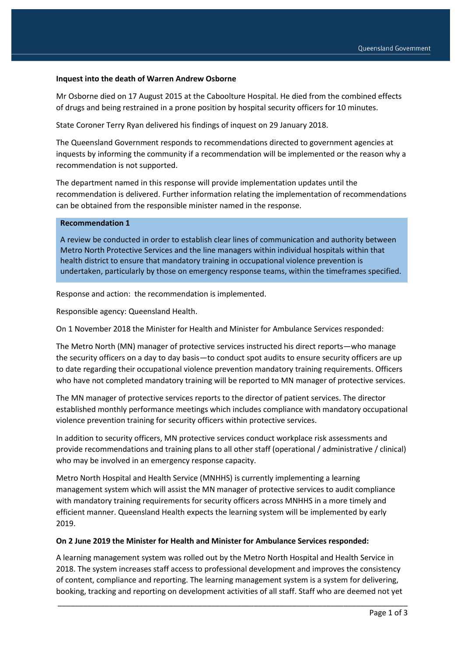### **Inquest into the death of Warren Andrew Osborne**

Mr Osborne died on 17 August 2015 at the Caboolture Hospital. He died from the combined effects of drugs and being restrained in a prone position by hospital security officers for 10 minutes.

State Coroner Terry Ryan delivered his findings of inquest on 29 January 2018.

The Queensland Government responds to recommendations directed to government agencies at inquests by informing the community if a recommendation will be implemented or the reason why a recommendation is not supported.

The department named in this response will provide implementation updates until the recommendation is delivered. Further information relating the implementation of recommendations can be obtained from the responsible minister named in the response.

### **Recommendation 1**

A review be conducted in order to establish clear lines of communication and authority between Metro North Protective Services and the line managers within individual hospitals within that health district to ensure that mandatory training in occupational violence prevention is undertaken, particularly by those on emergency response teams, within the timeframes specified.

Response and action: the recommendation is implemented.

Responsible agency: Queensland Health.

On 1 November 2018 the Minister for Health and Minister for Ambulance Services responded:

The Metro North (MN) manager of protective services instructed his direct reports—who manage the security officers on a day to day basis—to conduct spot audits to ensure security officers are up to date regarding their occupational violence prevention mandatory training requirements. Officers who have not completed mandatory training will be reported to MN manager of protective services.

The MN manager of protective services reports to the director of patient services. The director established monthly performance meetings which includes compliance with mandatory occupational violence prevention training for security officers within protective services.

In addition to security officers, MN protective services conduct workplace risk assessments and provide recommendations and training plans to all other staff (operational / administrative / clinical) who may be involved in an emergency response capacity.

Metro North Hospital and Health Service (MNHHS) is currently implementing a learning management system which will assist the MN manager of protective services to audit compliance with mandatory training requirements for security officers across MNHHS in a more timely and efficient manner. Queensland Health expects the learning system will be implemented by early 2019.

#### **On 2 June 2019 the Minister for Health and Minister for Ambulance Services responded:**

A learning management system was rolled out by the Metro North Hospital and Health Service in 2018. The system increases staff access to professional development and improves the consistency of content, compliance and reporting. The learning management system is a system for delivering, booking, tracking and reporting on development activities of all staff. Staff who are deemed not yet

\_\_\_\_\_\_\_\_\_\_\_\_\_\_\_\_\_\_\_\_\_\_\_\_\_\_\_\_\_\_\_\_\_\_\_\_\_\_\_\_\_\_\_\_\_\_\_\_\_\_\_\_\_\_\_\_\_\_\_\_\_\_\_\_\_\_\_\_\_\_\_\_\_\_\_\_\_\_\_\_\_\_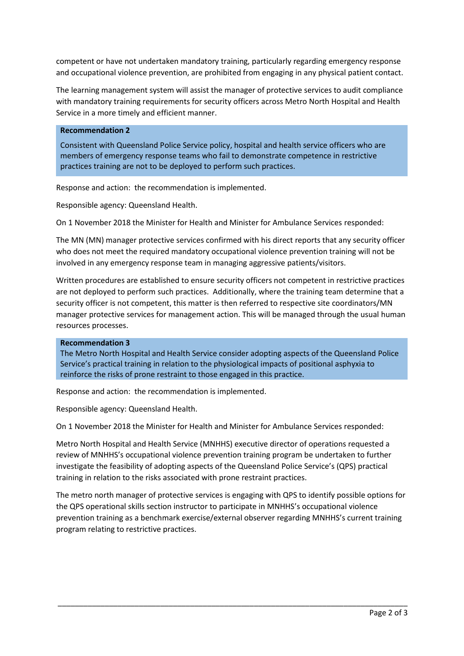competent or have not undertaken mandatory training, particularly regarding emergency response and occupational violence prevention, are prohibited from engaging in any physical patient contact.

The learning management system will assist the manager of protective services to audit compliance with mandatory training requirements for security officers across Metro North Hospital and Health Service in a more timely and efficient manner.

# **Recommendation 2**

Consistent with Queensland Police Service policy, hospital and health service officers who are members of emergency response teams who fail to demonstrate competence in restrictive practices training are not to be deployed to perform such practices.

Response and action: the recommendation is implemented.

Responsible agency: Queensland Health.

On 1 November 2018 the Minister for Health and Minister for Ambulance Services responded:

The MN (MN) manager protective services confirmed with his direct reports that any security officer who does not meet the required mandatory occupational violence prevention training will not be involved in any emergency response team in managing aggressive patients/visitors.

Written procedures are established to ensure security officers not competent in restrictive practices are not deployed to perform such practices. Additionally, where the training team determine that a security officer is not competent, this matter is then referred to respective site coordinators/MN manager protective services for management action. This will be managed through the usual human resources processes.

#### **Recommendation 3**

The Metro North Hospital and Health Service consider adopting aspects of the Queensland Police Service's practical training in relation to the physiological impacts of positional asphyxia to reinforce the risks of prone restraint to those engaged in this practice.

Response and action: the recommendation is implemented.

Responsible agency: Queensland Health.

On 1 November 2018 the Minister for Health and Minister for Ambulance Services responded:

Metro North Hospital and Health Service (MNHHS) executive director of operations requested a review of MNHHS's occupational violence prevention training program be undertaken to further investigate the feasibility of adopting aspects of the Queensland Police Service's (QPS) practical training in relation to the risks associated with prone restraint practices.

The metro north manager of protective services is engaging with QPS to identify possible options for the QPS operational skills section instructor to participate in MNHHS's occupational violence prevention training as a benchmark exercise/external observer regarding MNHHS's current training program relating to restrictive practices.

\_\_\_\_\_\_\_\_\_\_\_\_\_\_\_\_\_\_\_\_\_\_\_\_\_\_\_\_\_\_\_\_\_\_\_\_\_\_\_\_\_\_\_\_\_\_\_\_\_\_\_\_\_\_\_\_\_\_\_\_\_\_\_\_\_\_\_\_\_\_\_\_\_\_\_\_\_\_\_\_\_\_